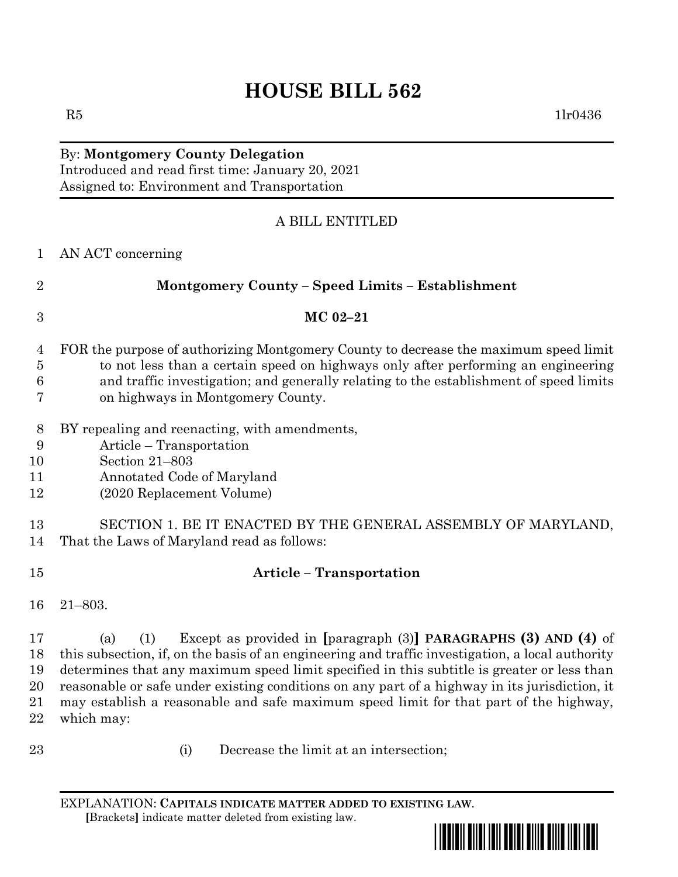## **HOUSE BILL 562**

## By: **Montgomery County Delegation** Introduced and read first time: January 20, 2021 Assigned to: Environment and Transportation

## A BILL ENTITLED

| $\mathbf{1}$                     | AN ACT concerning                                                                                                                                                                                                                                                                                                                                                                                                                                                                                           |  |  |  |
|----------------------------------|-------------------------------------------------------------------------------------------------------------------------------------------------------------------------------------------------------------------------------------------------------------------------------------------------------------------------------------------------------------------------------------------------------------------------------------------------------------------------------------------------------------|--|--|--|
| $\overline{2}$                   | Montgomery County - Speed Limits - Establishment                                                                                                                                                                                                                                                                                                                                                                                                                                                            |  |  |  |
| 3                                | MC 02-21                                                                                                                                                                                                                                                                                                                                                                                                                                                                                                    |  |  |  |
| 4<br>$\bf 5$<br>6<br>7           | FOR the purpose of authorizing Montgomery County to decrease the maximum speed limit<br>to not less than a certain speed on highways only after performing an engineering<br>and traffic investigation; and generally relating to the establishment of speed limits<br>on highways in Montgomery County.                                                                                                                                                                                                    |  |  |  |
| 8<br>9<br>10<br>11<br>12         | BY repealing and reenacting, with amendments,<br>Article – Transportation<br>Section 21-803<br>Annotated Code of Maryland<br>(2020 Replacement Volume)                                                                                                                                                                                                                                                                                                                                                      |  |  |  |
| 13<br>14                         | SECTION 1. BE IT ENACTED BY THE GENERAL ASSEMBLY OF MARYLAND,<br>That the Laws of Maryland read as follows:                                                                                                                                                                                                                                                                                                                                                                                                 |  |  |  |
| 15                               | <b>Article - Transportation</b>                                                                                                                                                                                                                                                                                                                                                                                                                                                                             |  |  |  |
| 16                               | $21 - 803.$                                                                                                                                                                                                                                                                                                                                                                                                                                                                                                 |  |  |  |
| 17<br>18<br>19<br>20<br>21<br>22 | Except as provided in $\lceil \text{paragnch (3)} \rceil$ PARAGRAPHS (3) AND (4) of<br>(a)<br>(1)<br>this subsection, if, on the basis of an engineering and traffic investigation, a local authority<br>determines that any maximum speed limit specified in this subtitle is greater or less than<br>reasonable or safe under existing conditions on any part of a highway in its jurisdiction, it<br>may establish a reasonable and safe maximum speed limit for that part of the highway,<br>which may: |  |  |  |
| 23                               | Decrease the limit at an intersection;<br>(i)                                                                                                                                                                                                                                                                                                                                                                                                                                                               |  |  |  |

EXPLANATION: **CAPITALS INDICATE MATTER ADDED TO EXISTING LAW**.  **[**Brackets**]** indicate matter deleted from existing law.

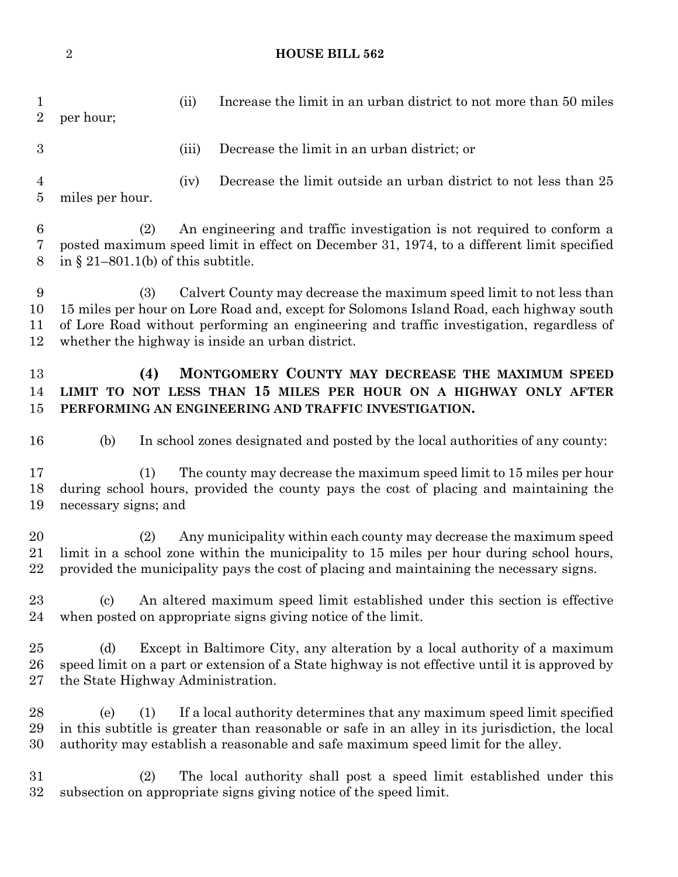**HOUSE BILL 562**

| 1<br>$\overline{2}$ | per hour;                                                                                                                                                                                                                                                                                                             | (ii)  | Increase the limit in an urban district to not more than 50 miles                                                                                                                                                                                            |  |
|---------------------|-----------------------------------------------------------------------------------------------------------------------------------------------------------------------------------------------------------------------------------------------------------------------------------------------------------------------|-------|--------------------------------------------------------------------------------------------------------------------------------------------------------------------------------------------------------------------------------------------------------------|--|
| 3                   |                                                                                                                                                                                                                                                                                                                       | (iii) | Decrease the limit in an urban district; or                                                                                                                                                                                                                  |  |
| 4<br>$\overline{5}$ | miles per hour.                                                                                                                                                                                                                                                                                                       | (iv)  | Decrease the limit outside an urban district to not less than 25                                                                                                                                                                                             |  |
| 6<br>7<br>8         | An engineering and traffic investigation is not required to conform a<br>(2)<br>posted maximum speed limit in effect on December 31, 1974, to a different limit specified<br>in § 21-801.1(b) of this subtitle.                                                                                                       |       |                                                                                                                                                                                                                                                              |  |
| 9<br>10<br>11<br>12 | Calvert County may decrease the maximum speed limit to not less than<br>(3)<br>15 miles per hour on Lore Road and, except for Solomons Island Road, each highway south<br>of Lore Road without performing an engineering and traffic investigation, regardless of<br>whether the highway is inside an urban district. |       |                                                                                                                                                                                                                                                              |  |
| 13<br>14<br>15      | (4)                                                                                                                                                                                                                                                                                                                   |       | MONTGOMERY COUNTY MAY DECREASE THE MAXIMUM SPEED<br>LIMIT TO NOT LESS THAN 15 MILES PER HOUR ON A HIGHWAY ONLY AFTER<br>PERFORMING AN ENGINEERING AND TRAFFIC INVESTIGATION.                                                                                 |  |
| 16                  | (b)                                                                                                                                                                                                                                                                                                                   |       | In school zones designated and posted by the local authorities of any county:                                                                                                                                                                                |  |
| 17<br>18<br>19      | (1)<br>necessary signs; and                                                                                                                                                                                                                                                                                           |       | The county may decrease the maximum speed limit to 15 miles per hour<br>during school hours, provided the county pays the cost of placing and maintaining the                                                                                                |  |
| 20<br>21<br>22      | (2)                                                                                                                                                                                                                                                                                                                   |       | Any municipality within each county may decrease the maximum speed<br>limit in a school zone within the municipality to 15 miles per hour during school hours,<br>provided the municipality pays the cost of placing and maintaining the necessary signs.    |  |
| 23<br>24            | $\left( \mathrm{c}\right)$                                                                                                                                                                                                                                                                                            |       | An altered maximum speed limit established under this section is effective<br>when posted on appropriate signs giving notice of the limit.                                                                                                                   |  |
| 25<br>26<br>$27\,$  | Except in Baltimore City, any alteration by a local authority of a maximum<br>(d)<br>speed limit on a part or extension of a State highway is not effective until it is approved by<br>the State Highway Administration.                                                                                              |       |                                                                                                                                                                                                                                                              |  |
| 28<br>29<br>30      | (1)<br>(e)                                                                                                                                                                                                                                                                                                            |       | If a local authority determines that any maximum speed limit specified<br>in this subtitle is greater than reasonable or safe in an alley in its jurisdiction, the local<br>authority may establish a reasonable and safe maximum speed limit for the alley. |  |
| 31<br>32            | (2)                                                                                                                                                                                                                                                                                                                   |       | The local authority shall post a speed limit established under this<br>subsection on appropriate signs giving notice of the speed limit.                                                                                                                     |  |